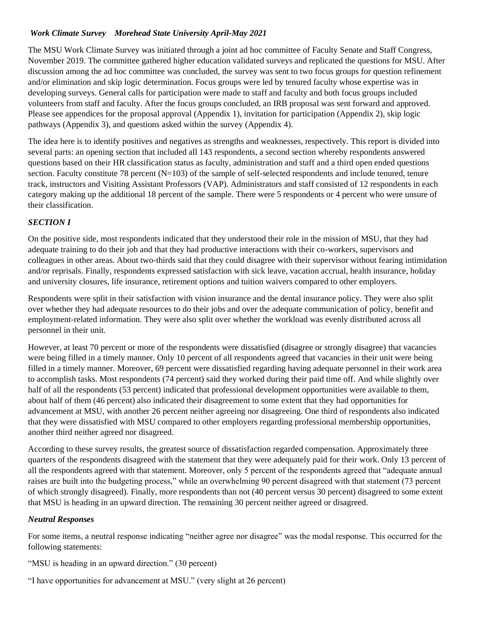## *Work Climate Survey Morehead State University April-May 2021*

The MSU Work Climate Survey was initiated through a joint ad hoc committee of Faculty Senate and Staff Congress, November 2019. The committee gathered higher education validated surveys and replicated the questions for MSU. After discussion among the ad hoc committee was concluded, the survey was sent to two focus groups for question refinement and/or elimination and skip logic determination. Focus groups were led by tenured faculty whose expertise was in developing surveys. General calls for participation were made to staff and faculty and both focus groups included volunteers from staff and faculty. After the focus groups concluded, an IRB proposal was sent forward and approved. Please see appendices for the proposal approval (Appendix 1), invitation for participation (Appendix 2), skip logic pathways (Appendix 3), and questions asked within the survey (Appendix 4).

The idea here is to identify positives and negatives as strengths and weaknesses, respectively. This report is divided into several parts: an opening section that included all 143 respondents, a second section whereby respondents answered questions based on their HR classification status as faculty, administration and staff and a third open ended questions section. Faculty constitute 78 percent (N=103) of the sample of self-selected respondents and include tenured, tenure track, instructors and Visiting Assistant Professors (VAP). Administrators and staff consisted of 12 respondents in each category making up the additional 18 percent of the sample. There were 5 respondents or 4 percent who were unsure of their classification.

## *SECTION I*

On the positive side, most respondents indicated that they understood their role in the mission of MSU, that they had adequate training to do their job and that they had productive interactions with their co-workers, supervisors and colleagues in other areas. About two-thirds said that they could disagree with their supervisor without fearing intimidation and/or reprisals. Finally, respondents expressed satisfaction with sick leave, vacation accrual, health insurance, holiday and university closures, life insurance, retirement options and tuition waivers compared to other employers.

Respondents were split in their satisfaction with vision insurance and the dental insurance policy. They were also split over whether they had adequate resources to do their jobs and over the adequate communication of policy, benefit and employment-related information. They were also split over whether the workload was evenly distributed across all personnel in their unit.

However, at least 70 percent or more of the respondents were dissatisfied (disagree or strongly disagree) that vacancies were being filled in a timely manner. Only 10 percent of all respondents agreed that vacancies in their unit were being filled in a timely manner. Moreover, 69 percent were dissatisfied regarding having adequate personnel in their work area to accomplish tasks. Most respondents (74 percent) said they worked during their paid time off. And while slightly over half of all the respondents (53 percent) indicated that professional development opportunities were available to them, about half of them (46 percent) also indicated their disagreement to some extent that they had opportunities for advancement at MSU, with another 26 percent neither agreeing nor disagreeing. One third of respondents also indicated that they were dissatisfied with MSU compared to other employers regarding professional membership opportunities, another third neither agreed nor disagreed.

According to these survey results, the greatest source of dissatisfaction regarded compensation. Approximately three quarters of the respondents disagreed with the statement that they were adequately paid for their work. Only 13 percent of all the respondents agreed with that statement. Moreover, only 5 percent of the respondents agreed that "adequate annual raises are built into the budgeting process," while an overwhelming 90 percent disagreed with that statement (73 percent of which strongly disagreed). Finally, more respondents than not (40 percent versus 30 percent) disagreed to some extent that MSU is heading in an upward direction. The remaining 30 percent neither agreed or disagreed.

## *Neutral Responses*

For some items, a neutral response indicating "neither agree nor disagree" was the modal response. This occurred for the following statements:

"MSU is heading in an upward direction." (30 percent)

"I have opportunities for advancement at MSU." (very slight at 26 percent)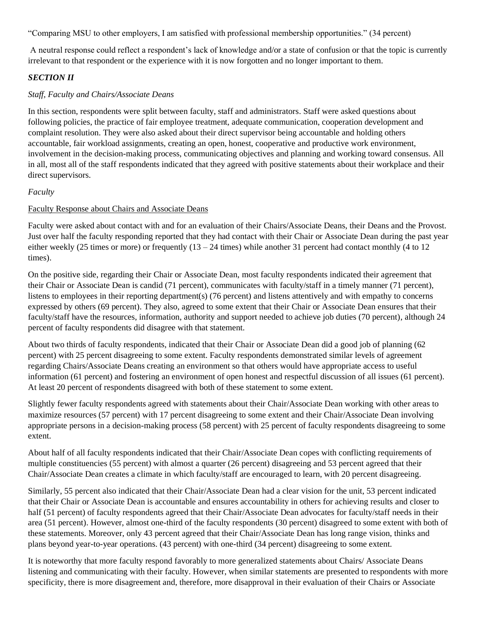"Comparing MSU to other employers, I am satisfied with professional membership opportunities." (34 percent)

A neutral response could reflect a respondent's lack of knowledge and/or a state of confusion or that the topic is currently irrelevant to that respondent or the experience with it is now forgotten and no longer important to them.

## *SECTION II*

#### *Staff, Faculty and Chairs/Associate Deans*

In this section, respondents were split between faculty, staff and administrators. Staff were asked questions about following policies, the practice of fair employee treatment, adequate communication, cooperation development and complaint resolution. They were also asked about their direct supervisor being accountable and holding others accountable, fair workload assignments, creating an open, honest, cooperative and productive work environment, involvement in the decision-making process, communicating objectives and planning and working toward consensus. All in all, most all of the staff respondents indicated that they agreed with positive statements about their workplace and their direct supervisors.

#### *Faculty*

#### Faculty Response about Chairs and Associate Deans

Faculty were asked about contact with and for an evaluation of their Chairs/Associate Deans, their Deans and the Provost. Just over half the faculty responding reported that they had contact with their Chair or Associate Dean during the past year either weekly (25 times or more) or frequently  $(13 - 24)$  times) while another 31 percent had contact monthly (4 to 12 times).

On the positive side, regarding their Chair or Associate Dean, most faculty respondents indicated their agreement that their Chair or Associate Dean is candid (71 percent), communicates with faculty/staff in a timely manner (71 percent), listens to employees in their reporting department(s) (76 percent) and listens attentively and with empathy to concerns expressed by others (69 percent). They also, agreed to some extent that their Chair or Associate Dean ensures that their faculty/staff have the resources, information, authority and support needed to achieve job duties (70 percent), although 24 percent of faculty respondents did disagree with that statement.

About two thirds of faculty respondents, indicated that their Chair or Associate Dean did a good job of planning (62 percent) with 25 percent disagreeing to some extent. Faculty respondents demonstrated similar levels of agreement regarding Chairs/Associate Deans creating an environment so that others would have appropriate access to useful information (61 percent) and fostering an environment of open honest and respectful discussion of all issues (61 percent). At least 20 percent of respondents disagreed with both of these statement to some extent.

Slightly fewer faculty respondents agreed with statements about their Chair/Associate Dean working with other areas to maximize resources (57 percent) with 17 percent disagreeing to some extent and their Chair/Associate Dean involving appropriate persons in a decision-making process (58 percent) with 25 percent of faculty respondents disagreeing to some extent.

About half of all faculty respondents indicated that their Chair/Associate Dean copes with conflicting requirements of multiple constituencies (55 percent) with almost a quarter (26 percent) disagreeing and 53 percent agreed that their Chair/Associate Dean creates a climate in which faculty/staff are encouraged to learn, with 20 percent disagreeing.

Similarly, 55 percent also indicated that their Chair/Associate Dean had a clear vision for the unit, 53 percent indicated that their Chair or Associate Dean is accountable and ensures accountability in others for achieving results and closer to half (51 percent) of faculty respondents agreed that their Chair/Associate Dean advocates for faculty/staff needs in their area (51 percent). However, almost one-third of the faculty respondents (30 percent) disagreed to some extent with both of these statements. Moreover, only 43 percent agreed that their Chair/Associate Dean has long range vision, thinks and plans beyond year-to-year operations. (43 percent) with one-third (34 percent) disagreeing to some extent.

It is noteworthy that more faculty respond favorably to more generalized statements about Chairs/ Associate Deans listening and communicating with their faculty. However, when similar statements are presented to respondents with more specificity, there is more disagreement and, therefore, more disapproval in their evaluation of their Chairs or Associate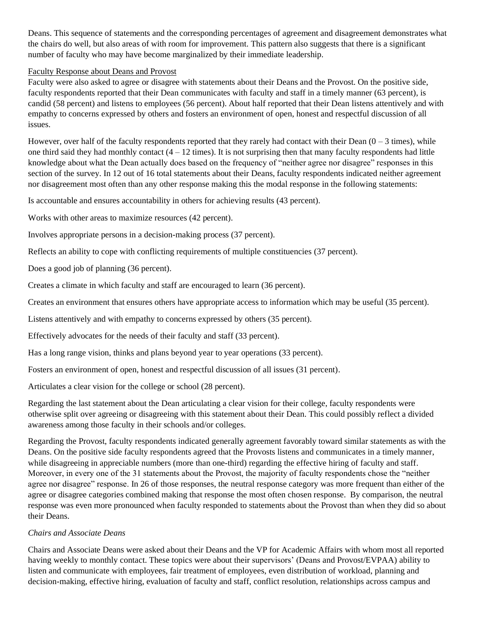Deans. This sequence of statements and the corresponding percentages of agreement and disagreement demonstrates what the chairs do well, but also areas of with room for improvement. This pattern also suggests that there is a significant number of faculty who may have become marginalized by their immediate leadership.

#### Faculty Response about Deans and Provost

Faculty were also asked to agree or disagree with statements about their Deans and the Provost. On the positive side, faculty respondents reported that their Dean communicates with faculty and staff in a timely manner (63 percent), is candid (58 percent) and listens to employees (56 percent). About half reported that their Dean listens attentively and with empathy to concerns expressed by others and fosters an environment of open, honest and respectful discussion of all issues.

However, over half of the faculty respondents reported that they rarely had contact with their Dean  $(0 - 3$  times), while one third said they had monthly contact  $(4 - 12$  times). It is not surprising then that many faculty respondents had little knowledge about what the Dean actually does based on the frequency of "neither agree nor disagree" responses in this section of the survey. In 12 out of 16 total statements about their Deans, faculty respondents indicated neither agreement nor disagreement most often than any other response making this the modal response in the following statements:

Is accountable and ensures accountability in others for achieving results (43 percent).

Works with other areas to maximize resources (42 percent).

Involves appropriate persons in a decision-making process (37 percent).

Reflects an ability to cope with conflicting requirements of multiple constituencies (37 percent).

Does a good job of planning (36 percent).

Creates a climate in which faculty and staff are encouraged to learn (36 percent).

Creates an environment that ensures others have appropriate access to information which may be useful (35 percent).

Listens attentively and with empathy to concerns expressed by others (35 percent).

Effectively advocates for the needs of their faculty and staff (33 percent).

Has a long range vision, thinks and plans beyond year to year operations (33 percent).

Fosters an environment of open, honest and respectful discussion of all issues (31 percent).

Articulates a clear vision for the college or school (28 percent).

Regarding the last statement about the Dean articulating a clear vision for their college, faculty respondents were otherwise split over agreeing or disagreeing with this statement about their Dean. This could possibly reflect a divided awareness among those faculty in their schools and/or colleges.

Regarding the Provost, faculty respondents indicated generally agreement favorably toward similar statements as with the Deans. On the positive side faculty respondents agreed that the Provosts listens and communicates in a timely manner, while disagreeing in appreciable numbers (more than one-third) regarding the effective hiring of faculty and staff. Moreover, in every one of the 31 statements about the Provost, the majority of faculty respondents chose the "neither agree nor disagree" response. In 26 of those responses, the neutral response category was more frequent than either of the agree or disagree categories combined making that response the most often chosen response. By comparison, the neutral response was even more pronounced when faculty responded to statements about the Provost than when they did so about their Deans.

#### *Chairs and Associate Deans*

Chairs and Associate Deans were asked about their Deans and the VP for Academic Affairs with whom most all reported having weekly to monthly contact. These topics were about their supervisors' (Deans and Provost/EVPAA) ability to listen and communicate with employees, fair treatment of employees, even distribution of workload, planning and decision-making, effective hiring, evaluation of faculty and staff, conflict resolution, relationships across campus and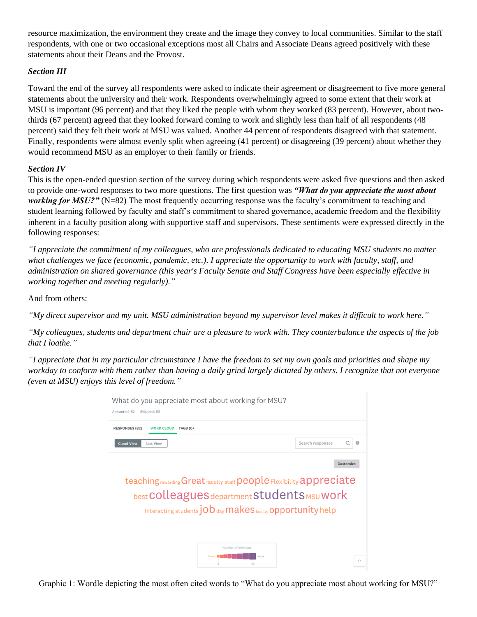resource maximization, the environment they create and the image they convey to local communities. Similar to the staff respondents, with one or two occasional exceptions most all Chairs and Associate Deans agreed positively with these statements about their Deans and the Provost.

# *Section III*

Toward the end of the survey all respondents were asked to indicate their agreement or disagreement to five more general statements about the university and their work. Respondents overwhelmingly agreed to some extent that their work at MSU is important (96 percent) and that they liked the people with whom they worked (83 percent). However, about twothirds (67 percent) agreed that they looked forward coming to work and slightly less than half of all respondents (48 percent) said they felt their work at MSU was valued. Another 44 percent of respondents disagreed with that statement. Finally, respondents were almost evenly split when agreeing (41 percent) or disagreeing (39 percent) about whether they would recommend MSU as an employer to their family or friends.

## *Section IV*

This is the open-ended question section of the survey during which respondents were asked five questions and then asked to provide one-word responses to two more questions. The first question was *"What do you appreciate the most about working for MSU?"* (N=82) The most frequently occurring response was the faculty's commitment to teaching and student learning followed by faculty and staff's commitment to shared governance, academic freedom and the flexibility inherent in a faculty position along with supportive staff and supervisors. These sentiments were expressed directly in the following responses:

*"I appreciate the commitment of my colleagues, who are professionals dedicated to educating MSU students no matter what challenges we face (economic, pandemic, etc.). I appreciate the opportunity to work with faculty, staff, and administration on shared governance (this year's Faculty Senate and Staff Congress have been especially effective in working together and meeting regularly)."*

And from others:

*"My direct supervisor and my unit. MSU administration beyond my supervisor level makes it difficult to work here."*

*"My colleagues, students and department chair are a pleasure to work with. They counterbalance the aspects of the job that I loathe."*

*"I appreciate that in my particular circumstance I have the freedom to set my own goals and priorities and shape my workday to conform with them rather than having a daily grind largely dictated by others. I recognize that not everyone (even at MSU) enjoys this level of freedom."*

| <b>Cloud View</b><br><b>List View</b> | Search responses                                                                                              | 0         |
|---------------------------------------|---------------------------------------------------------------------------------------------------------------|-----------|
|                                       |                                                                                                               |           |
|                                       |                                                                                                               | Customize |
|                                       |                                                                                                               |           |
|                                       | teaching rewarding Great faculty staff people Flexibility appreciate                                          |           |
|                                       | best COlleagues department Students MSU Work<br>Interacting students $job$ day makes faculty opportunity help |           |

Graphic 1: Wordle depicting the most often cited words to "What do you appreciate most about working for MSU?"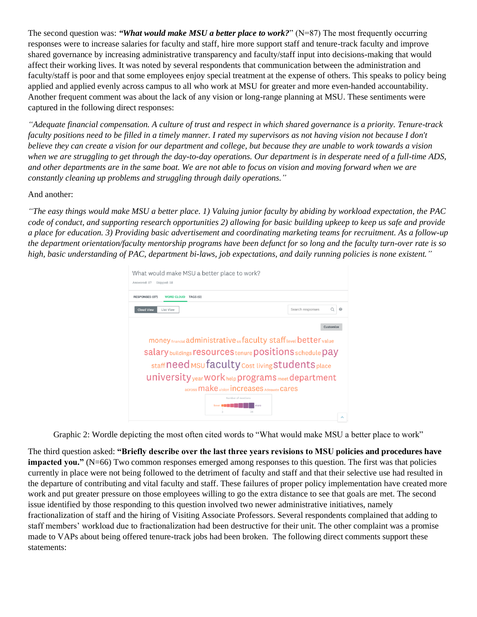The second question was: *"What would make MSU a better place to work?*" ( $N=87$ ) The most frequently occurring responses were to increase salaries for faculty and staff, hire more support staff and tenure-track faculty and improve shared governance by increasing administrative transparency and faculty/staff input into decisions-making that would affect their working lives. It was noted by several respondents that communication between the administration and faculty/staff is poor and that some employees enjoy special treatment at the expense of others. This speaks to policy being applied and applied evenly across campus to all who work at MSU for greater and more even-handed accountability. Another frequent comment was about the lack of any vision or long-range planning at MSU. These sentiments were captured in the following direct responses:

*"Adequate financial compensation. A culture of trust and respect in which shared governance is a priority. Tenure-track faculty positions need to be filled in a timely manner. I rated my supervisors as not having vision not because I don't believe they can create a vision for our department and college, but because they are unable to work towards a vision when we are struggling to get through the day-to-day operations. Our department is in desperate need of a full-time ADS, and other departments are in the same boat. We are not able to focus on vision and moving forward when we are constantly cleaning up problems and struggling through daily operations."*

#### And another:

*"The easy things would make MSU a better place. 1) Valuing junior faculty by abiding by workload expectation, the PAC code of conduct, and supporting research opportunities 2) allowing for basic building upkeep to keep us safe and provide a place for education. 3) Providing basic advertisement and coordinating marketing teams for recruitment. As a follow-up the department orientation/faculty mentorship programs have been defunct for so long and the faculty turn-over rate is so high, basic understanding of PAC, department bi-laws, job expectations, and daily running policies is none existent."*

| What would make MSU a better place to work?<br>Answered: 87<br>Skipped: 58 |                                                                                                                                                                                                                                                                                                                                   |  |
|----------------------------------------------------------------------------|-----------------------------------------------------------------------------------------------------------------------------------------------------------------------------------------------------------------------------------------------------------------------------------------------------------------------------------|--|
| <b>RESPONSES (87)</b><br><b>WORD CLOUD</b><br>TAGS (0)                     |                                                                                                                                                                                                                                                                                                                                   |  |
| <b>Cloud View</b><br><b>List View</b>                                      | Search responses                                                                                                                                                                                                                                                                                                                  |  |
|                                                                            | Customize                                                                                                                                                                                                                                                                                                                         |  |
|                                                                            | money financial administrative us faculty staff level better value<br>Salary buildings resources tenure positions schedule pay<br>staff need MSU faculty cost living Students place<br>University year Work help programs meet department<br>across make vision increases Adequate Cares<br>Number of mentions<br>more<br>3<br>34 |  |

Graphic 2: Wordle depicting the most often cited words to "What would make MSU a better place to work"

The third question asked: **"Briefly describe over the last three years revisions to MSU policies and procedures have impacted you."** (N=66) Two common responses emerged among responses to this question. The first was that policies currently in place were not being followed to the detriment of faculty and staff and that their selective use had resulted in the departure of contributing and vital faculty and staff. These failures of proper policy implementation have created more work and put greater pressure on those employees willing to go the extra distance to see that goals are met. The second issue identified by those responding to this question involved two newer administrative initiatives, namely fractionalization of staff and the hiring of Visiting Associate Professors. Several respondents complained that adding to staff members' workload due to fractionalization had been destructive for their unit. The other complaint was a promise made to VAPs about being offered tenure-track jobs had been broken. The following direct comments support these statements: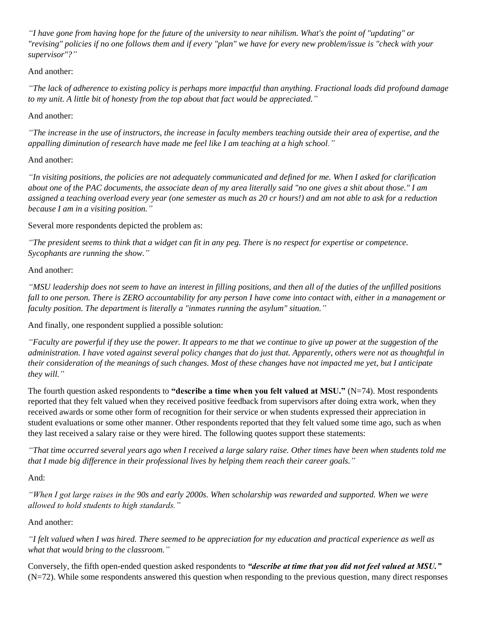*"I have gone from having hope for the future of the university to near nihilism. What's the point of "updating" or "revising" policies if no one follows them and if every "plan" we have for every new problem/issue is "check with your supervisor"?"*

# And another:

*"The lack of adherence to existing policy is perhaps more impactful than anything. Fractional loads did profound damage to my unit. A little bit of honesty from the top about that fact would be appreciated."*

# And another:

*"The increase in the use of instructors, the increase in faculty members teaching outside their area of expertise, and the appalling diminution of research have made me feel like I am teaching at a high school."*

## And another:

*"In visiting positions, the policies are not adequately communicated and defined for me. When I asked for clarification about one of the PAC documents, the associate dean of my area literally said "no one gives a shit about those." I am assigned a teaching overload every year (one semester as much as 20 cr hours!) and am not able to ask for a reduction because I am in a visiting position."*

Several more respondents depicted the problem as:

*"The president seems to think that a widget can fit in any peg. There is no respect for expertise or competence. Sycophants are running the show."*

# And another:

*"MSU leadership does not seem to have an interest in filling positions, and then all of the duties of the unfilled positions fall to one person. There is ZERO accountability for any person I have come into contact with, either in a management or faculty position. The department is literally a "inmates running the asylum" situation."*

And finally, one respondent supplied a possible solution:

*"Faculty are powerful if they use the power. It appears to me that we continue to give up power at the suggestion of the administration. I have voted against several policy changes that do just that. Apparently, others were not as thoughtful in their consideration of the meanings of such changes. Most of these changes have not impacted me yet, but I anticipate they will."*

The fourth question asked respondents to **"describe a time when you felt valued at MSU."** (N=74). Most respondents reported that they felt valued when they received positive feedback from supervisors after doing extra work, when they received awards or some other form of recognition for their service or when students expressed their appreciation in student evaluations or some other manner. Other respondents reported that they felt valued some time ago, such as when they last received a salary raise or they were hired. The following quotes support these statements:

*"That time occurred several years ago when I received a large salary raise. Other times have been when students told me that I made big difference in their professional lives by helping them reach their career goals."*

## And:

*"When I got large raises in the 90s and early 2000s. When scholarship was rewarded and supported. When we were allowed to hold students to high standards."* 

## And another:

*"I felt valued when I was hired. There seemed to be appreciation for my education and practical experience as well as what that would bring to the classroom."*

Conversely, the fifth open-ended question asked respondents to *"describe at time that you did not feel valued at MSU."*  $(N=72)$ . While some respondents answered this question when responding to the previous question, many direct responses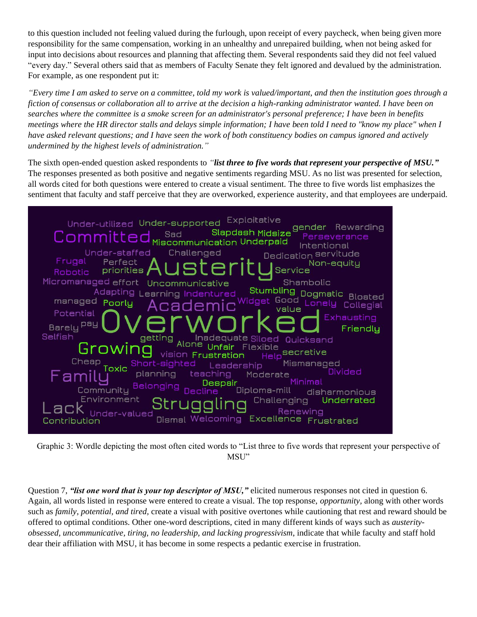to this question included not feeling valued during the furlough, upon receipt of every paycheck, when being given more responsibility for the same compensation, working in an unhealthy and unrepaired building, when not being asked for input into decisions about resources and planning that affecting them. Several respondents said they did not feel valued "every day." Several others said that as members of Faculty Senate they felt ignored and devalued by the administration. For example, as one respondent put it:

*"Every time I am asked to serve on a committee, told my work is valued/important, and then the institution goes through a fiction of consensus or collaboration all to arrive at the decision a high-ranking administrator wanted. I have been on searches where the committee is a smoke screen for an administrator's personal preference; I have been in benefits meetings where the HR director stalls and delays simple information; I have been told I need to "know my place" when I have asked relevant questions; and I have seen the work of both constituency bodies on campus ignored and actively undermined by the highest levels of administration."*

The sixth open-ended question asked respondents to *"list three to five words that represent your perspective of MSU."*  The responses presented as both positive and negative sentiments regarding MSU. As no list was presented for selection, all words cited for both questions were entered to create a visual sentiment. The three to five words list emphasizes the sentiment that faculty and staff perceive that they are overworked, experience austerity, and that employees are underpaid.



Graphic 3: Wordle depicting the most often cited words to "List three to five words that represent your perspective of MSU"

Question 7, *"list one word that is your top descriptor of MSU*," elicited numerous responses not cited in question 6. Again, all words listed in response were entered to create a visual. The top response, *opportunity,* along with other words such as *family, potential, and tired,* create a visual with positive overtones while cautioning that rest and reward should be offered to optimal conditions. Other one-word descriptions, cited in many different kinds of ways such as *austerityobsessed, uncommunicative, tiring, no leadership, and lacking progressivism*, indicate that while faculty and staff hold dear their affiliation with MSU, it has become in some respects a pedantic exercise in frustration.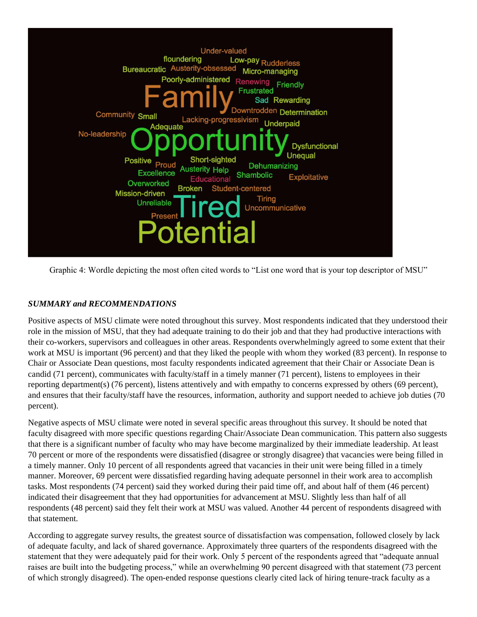

Graphic 4: Wordle depicting the most often cited words to "List one word that is your top descriptor of MSU"

## *SUMMARY and RECOMMENDATIONS*

Positive aspects of MSU climate were noted throughout this survey. Most respondents indicated that they understood their role in the mission of MSU, that they had adequate training to do their job and that they had productive interactions with their co-workers, supervisors and colleagues in other areas. Respondents overwhelmingly agreed to some extent that their work at MSU is important (96 percent) and that they liked the people with whom they worked (83 percent). In response to Chair or Associate Dean questions, most faculty respondents indicated agreement that their Chair or Associate Dean is candid (71 percent), communicates with faculty/staff in a timely manner (71 percent), listens to employees in their reporting department(s) (76 percent), listens attentively and with empathy to concerns expressed by others (69 percent), and ensures that their faculty/staff have the resources, information, authority and support needed to achieve job duties (70 percent).

Negative aspects of MSU climate were noted in several specific areas throughout this survey. It should be noted that faculty disagreed with more specific questions regarding Chair/Associate Dean communication. This pattern also suggests that there is a significant number of faculty who may have become marginalized by their immediate leadership. At least 70 percent or more of the respondents were dissatisfied (disagree or strongly disagree) that vacancies were being filled in a timely manner. Only 10 percent of all respondents agreed that vacancies in their unit were being filled in a timely manner. Moreover, 69 percent were dissatisfied regarding having adequate personnel in their work area to accomplish tasks. Most respondents (74 percent) said they worked during their paid time off, and about half of them (46 percent) indicated their disagreement that they had opportunities for advancement at MSU. Slightly less than half of all respondents (48 percent) said they felt their work at MSU was valued. Another 44 percent of respondents disagreed with that statement.

According to aggregate survey results, the greatest source of dissatisfaction was compensation, followed closely by lack of adequate faculty, and lack of shared governance. Approximately three quarters of the respondents disagreed with the statement that they were adequately paid for their work. Only 5 percent of the respondents agreed that "adequate annual raises are built into the budgeting process," while an overwhelming 90 percent disagreed with that statement (73 percent of which strongly disagreed). The open-ended response questions clearly cited lack of hiring tenure-track faculty as a